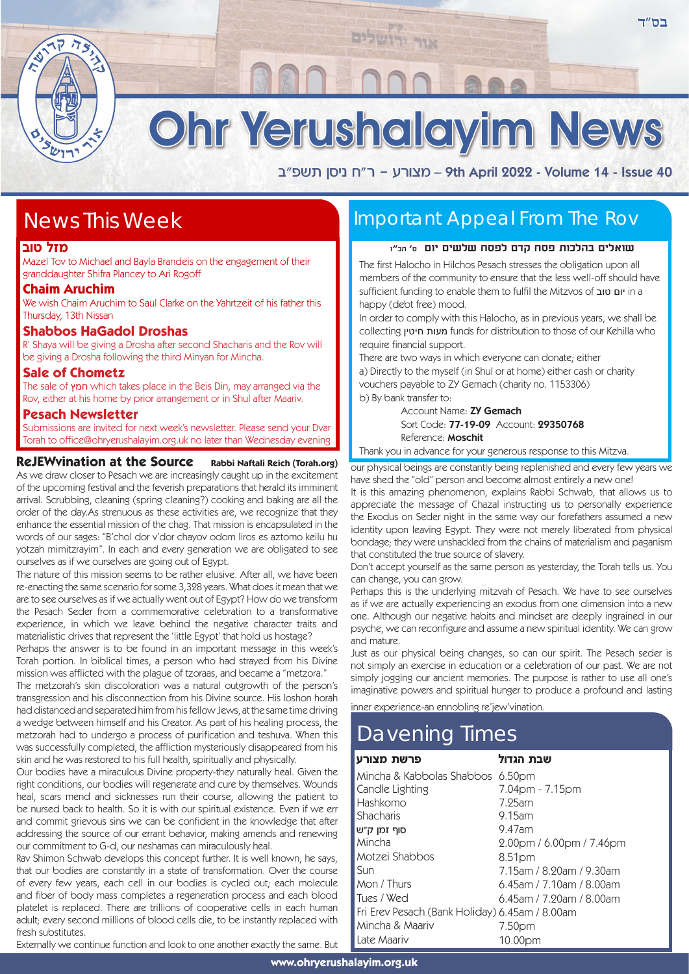Ohr Yerushalayim News

אור ירושלים

a"tyz oqip g"x - rxevn – 9th April 2022 - Volume 14 - Issue 40

## News This Week

#### **מזל טוב**

Mazel Tov to Michael and Bayla Brandeis on the engagement of their granddaughter Shifra Plancey to Ari Rogoff

#### **Chaim Aruchim**

We wish Chaim Aruchim to Saul Clarke on the Yahrtzeit of his father this Thursday, 13th Nissan

### **Shabbos HaGadol Droshas**

R' Shaya will be giving a Drosha after second Shacharis and the Rov will be giving a Drosha following the third Minyan for Mincha.

#### **Sale of Chometz**

The sale of חמץ which takes place in the Beis Din, may arranged via the Rov, either at his home by prior arrangement or in Shul after Maariv.

#### **Pesach Newsletter**

Submissions are invited for next week's newsletter. Please send your Dvar Torah to office@ohryerushalayim.org.uk no later than Wednesday evening

#### **ReJEWvination at the Source Rabbi Naftali Reich (Torah.org)**

As we draw closer to Pesach we are increasingly caught up in the excitement of the upcoming festival and the feverish preparations that herald its imminent arrival. Scrubbing, cleaning (spring cleaning?) cooking and baking are all the order of the day.As strenuous as these activities are, we recognize that they enhance the essential mission of the chag. That mission is encapsulated in the words of our sages: "B'chol dor v'dor chayov odom liros es aztomo keilu hu yotzah mimitzrayim". In each and every generation we are obligated to see ourselves as if we ourselves are going out of Egypt.

The nature of this mission seems to be rather elusive. After all, we have been re-enacting the same scenario for some 3,328 years. What does it mean that we are to see ourselves as if we actually went out of Egypt? How do we transform the Pesach Seder from a commemorative celebration to a transformative experience, in which we leave behind the negative character traits and materialistic drives that represent the 'little Egypt' that hold us hostage?

Perhaps the answer is to be found in an important message in this week's Torah portion. In biblical times, a person who had strayed from his Divine mission was afflicted with the plague of tzoraas, and became a "metzora."

The metzorah's skin discoloration was a natural outgrowth of the person's transgression and his disconnection from his Divine source. His loshon horah had distanced and separated him from his fellow Jews, at the same time driving a wedge between himself and his Creator. As part of his healing process, the metzorah had to undergo a process of purification and teshuva. When this was successfully completed, the affliction mysteriously disappeared from his skin and he was restored to his full health, spiritually and physically.

Our bodies have a miraculous Divine property-they naturally heal. Given the right conditions, our bodies will regenerate and cure by themselves. Wounds heal, scars mend and sicknesses run their course, allowing the patient to be nursed back to health. So it is with our spiritual existence. Even if we err and commit grievous sins we can be confident in the knowledge that after addressing the source of our errant behavior, making amends and renewing our commitment to G-d, our neshamas can miraculously heal.

Rav Shimon Schwab develops this concept further. It is well known, he says, that our bodies are constantly in a state of transformation. Over the course of every few years, each cell in our bodies is cycled out; each molecule and fiber of body mass completes a regeneration process and each blood platelet is replaced. There are trillions of cooperative cells in each human adult; every second millions of blood cells die, to be instantly replaced with fresh substitutes

Externally we continue function and look to one another exactly the same. But

### Important Appeal From The Rov

#### **שואלים בהלכות פסח קדם לפסח שלשים יום ס' תכ"ז**

The first Halocho in Hilchos Pesach stresses the obligation upon all members of the community to ensure that the less well-off should have sufficient funding to enable them to fulfil the Mitzvos of טוב יום in a happy (debt free) mood.

In order to comply with this Halocho, as in previous years, we shall be collecting חיטין מעות funds for distribution to those of our Kehilla who require financial support.

There are two ways in which everyone can donate; either a) Directly to the myself (in Shul or at home) either cash or charity vouchers payable to ZY Gemach (charity no. 1153306) b) By bank transfer to:

> Account Name: ZY Gemach Sort Code: 77-19-09 Account: 29350768 Reference: Moschit

Thank you in advance for your generous response to this Mitzva.

our physical beings are constantly being replenished and every few years we have shed the "old" person and become almost entirely a new one!

It is this amazing phenomenon, explains Rabbi Schwab, that allows us to appreciate the message of Chazal instructing us to personally experience the Exodus on Seder night in the same way our forefathers assumed a new identity upon leaving Egypt. They were not merely liberated from physical bondage; they were unshackled from the chains of materialism and paganism that constituted the true source of slavery.

Don't accept yourself as the same person as yesterday, the Torah tells us. You can change, you can grow.

Perhaps this is the underlying mitzvah of Pesach. We have to see ourselves as if we are actually experiencing an exodus from one dimension into a new one. Although our negative habits and mindset are deeply ingrained in our psyche, we can reconfigure and assume a new spiritual identity. We can grow and mature.

Just as our physical being changes, so can our spirit. The Pesach seder is not simply an exercise in education or a celebration of our past. We are not simply jogging our ancient memories. The purpose is rather to use all one's imaginative powers and spiritual hunger to produce a profound and lasting

inner experience-an ennobling re'jew'vination.

# Davening Times

| פרשת מצורע                                     | שבת הגדול                   |
|------------------------------------------------|-----------------------------|
| Mincha & Kabbolas Shabbos                      | 6.50 <sub>pm</sub>          |
| Candle Lighting                                | 7.04pm - 7.15pm             |
| Hashkomo                                       | 7.25am                      |
| Shacharis                                      | $9.15$ am                   |
| סוף זמן ק״ש                                    | 9.47am                      |
| Mincha                                         | 2.00pm / 6.00pm / 7.46pm    |
| Motzei Shabbos                                 | 8.51pm                      |
| Sun                                            | 7.15am / 8.20am / 9.30am    |
| Mon / Thurs                                    | $6.45$ am / 7.10am / 8.00am |
| Tues / Wed                                     | $6.45$ am / 7.20am / 8.00am |
| Fri Erev Pesach (Bank Holiday) 6.45am / 8.00am |                             |
| Mincha & Maariv                                | 7.50pm                      |
| Late Maariv                                    | 10.00pm                     |